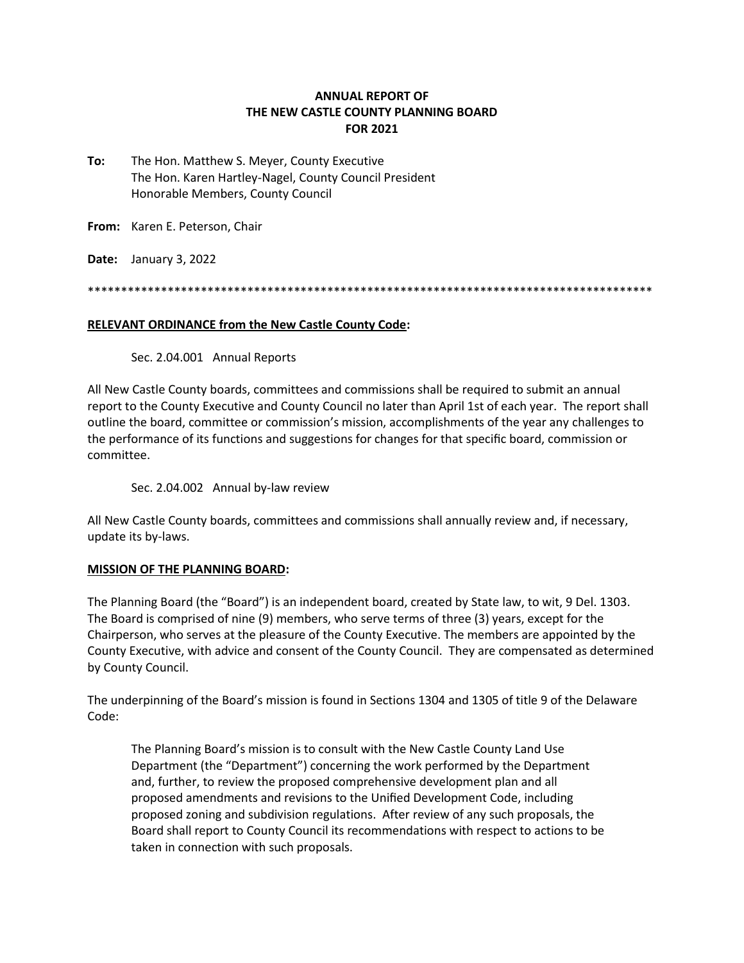## **ANNUAL REPORT OF THE NEW CASTLE COUNTY PLANNING BOARD FOR 2021**

**To:** The Hon. Matthew S. Meyer, County Executive The Hon. Karen Hartley-Nagel, County Council President Honorable Members, County Council

**From:** Karen E. Peterson, Chair

**Date:** January 3, 2022

\*\*\*\*\*\*\*\*\*\*\*\*\*\*\*\*\*\*\*\*\*\*\*\*\*\*\*\*\*\*\*\*\*\*\*\*\*\*\*\*\*\*\*\*\*\*\*\*\*\*\*\*\*\*\*\*\*\*\*\*\*\*\*\*\*\*\*\*\*\*\*\*\*\*\*\*\*\*\*\*\*\*\*\*\*

### **RELEVANT ORDINANCE from the New Castle County Code:**

Sec. 2.04.001 Annual Reports

All New Castle County boards, committees and commissions shall be required to submit an annual report to the County Executive and County Council no later than April 1st of each year. The report shall outline the board, committee or commission's mission, accomplishments of the year any challenges to the performance of its functions and suggestions for changes for that specific board, commission or committee.

Sec. 2.04.002 Annual by-law review

All New Castle County boards, committees and commissions shall annually review and, if necessary, update its by-laws.

## **MISSION OF THE PLANNING BOARD:**

The Planning Board (the "Board") is an independent board, created by State law, to wit, 9 Del. 1303. The Board is comprised of nine (9) members, who serve terms of three (3) years, except for the Chairperson, who serves at the pleasure of the County Executive. The members are appointed by the County Executive, with advice and consent of the County Council. They are compensated as determined by County Council.

The underpinning of the Board's mission is found in Sections 1304 and 1305 of title 9 of the Delaware Code:

The Planning Board's mission is to consult with the New Castle County Land Use Department (the "Department") concerning the work performed by the Department and, further, to review the proposed comprehensive development plan and all proposed amendments and revisions to the Unified Development Code, including proposed zoning and subdivision regulations. After review of any such proposals, the Board shall report to County Council its recommendations with respect to actions to be taken in connection with such proposals.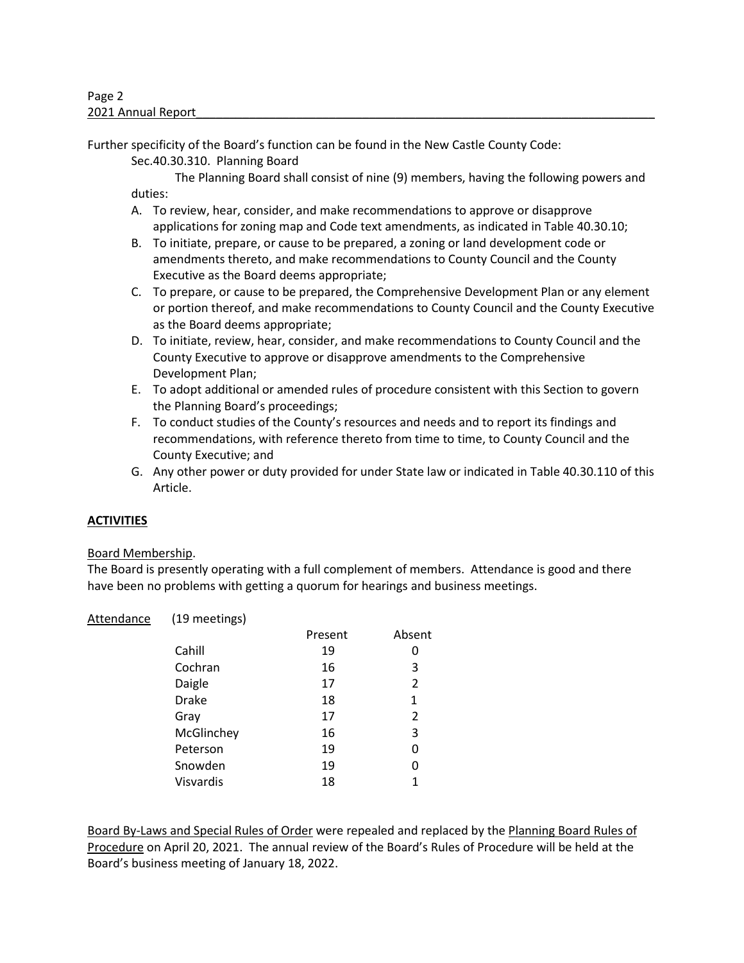Further specificity of the Board's function can be found in the New Castle County Code:

Sec.40.30.310. Planning Board

The Planning Board shall consist of nine (9) members, having the following powers and duties:

- A. To review, hear, consider, and make recommendations to approve or disapprove applications for zoning map and Code text amendments, as indicated in Table 40.30.10;
- B. To initiate, prepare, or cause to be prepared, a zoning or land development code or amendments thereto, and make recommendations to County Council and the County Executive as the Board deems appropriate;
- C. To prepare, or cause to be prepared, the Comprehensive Development Plan or any element or portion thereof, and make recommendations to County Council and the County Executive as the Board deems appropriate;
- D. To initiate, review, hear, consider, and make recommendations to County Council and the County Executive to approve or disapprove amendments to the Comprehensive Development Plan;
- E. To adopt additional or amended rules of procedure consistent with this Section to govern the Planning Board's proceedings;
- F. To conduct studies of the County's resources and needs and to report its findings and recommendations, with reference thereto from time to time, to County Council and the County Executive; and
- G. Any other power or duty provided for under State law or indicated in Table 40.30.110 of this Article.

# **ACTIVITIES**

## Board Membership.

The Board is presently operating with a full complement of members. Attendance is good and there have been no problems with getting a quorum for hearings and business meetings.

| Attendance | (19 meetings) |         |        |  |
|------------|---------------|---------|--------|--|
|            |               | Present | Absent |  |
|            | Cahill        | 19      | 0      |  |
|            | Cochran       | 16      | 3      |  |
|            | Daigle        | 17      | 2      |  |
|            | <b>Drake</b>  | 18      | 1      |  |
|            | Gray          | 17      | 2      |  |
|            | McGlinchey    | 16      | 3      |  |
|            | Peterson      | 19      | 0      |  |
|            | Snowden       | 19      | 0      |  |

Visvardis 18 18

Board By-Laws and Special Rules of Order were repealed and replaced by the Planning Board Rules of Procedure on April 20, 2021. The annual review of the Board's Rules of Procedure will be held at the Board's business meeting of January 18, 2022.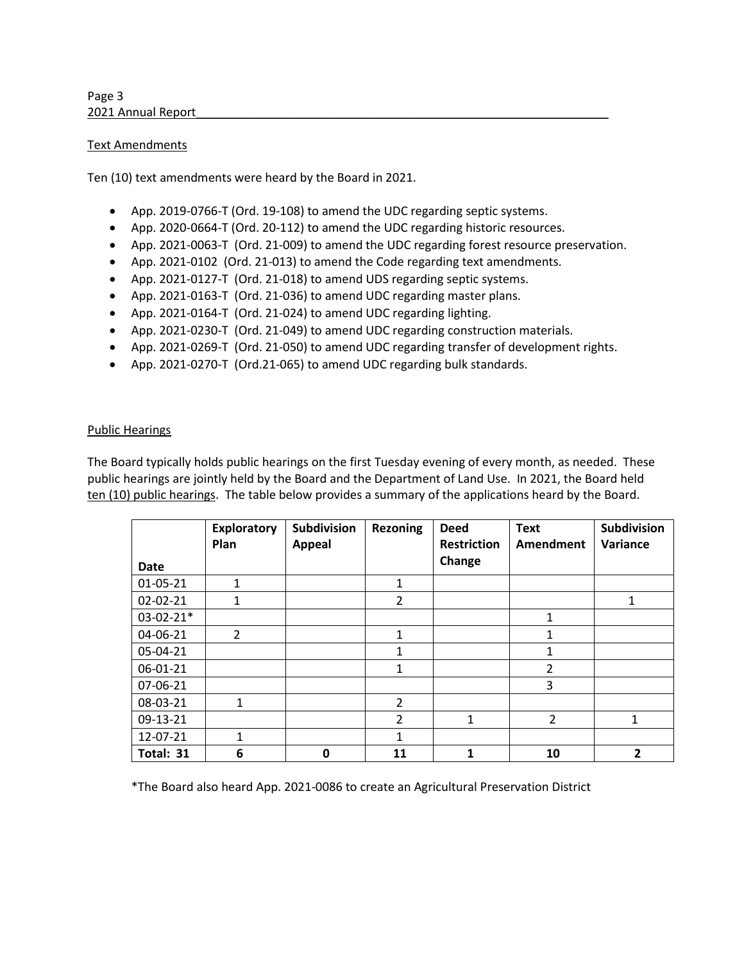### Text Amendments

Ten (10) text amendments were heard by the Board in 2021.

- App. 2019-0766-T (Ord. 19-108) to amend the UDC regarding septic systems.
- App. 2020-0664-T (Ord. 20-112) to amend the UDC regarding historic resources.
- App. 2021-0063-T (Ord. 21-009) to amend the UDC regarding forest resource preservation.
- App. 2021-0102 (Ord. 21-013) to amend the Code regarding text amendments.
- App. 2021-0127-T (Ord. 21-018) to amend UDS regarding septic systems.
- App. 2021-0163-T (Ord. 21-036) to amend UDC regarding master plans.
- App. 2021-0164-T (Ord. 21-024) to amend UDC regarding lighting.
- App. 2021-0230-T (Ord. 21-049) to amend UDC regarding construction materials.
- App. 2021-0269-T (Ord. 21-050) to amend UDC regarding transfer of development rights.
- App. 2021-0270-T (Ord.21-065) to amend UDC regarding bulk standards.

### Public Hearings

The Board typically holds public hearings on the first Tuesday evening of every month, as needed. These public hearings are jointly held by the Board and the Department of Land Use. In 2021, the Board held ten (10) public hearings. The table below provides a summary of the applications heard by the Board.

| <b>Date</b>    | <b>Exploratory</b><br>Plan | <b>Subdivision</b><br><b>Appeal</b> | <b>Rezoning</b> | <b>Deed</b><br><b>Restriction</b><br>Change | <b>Text</b><br>Amendment | <b>Subdivision</b><br>Variance |
|----------------|----------------------------|-------------------------------------|-----------------|---------------------------------------------|--------------------------|--------------------------------|
| 01-05-21       | 1                          |                                     | 1               |                                             |                          |                                |
| $02 - 02 - 21$ | 1                          |                                     | $\overline{2}$  |                                             |                          | 1                              |
| $03-02-21*$    |                            |                                     |                 |                                             | 1                        |                                |
| 04-06-21       | $\overline{2}$             |                                     | $\mathbf{1}$    |                                             | $\mathbf{1}$             |                                |
| 05-04-21       |                            |                                     | 1               |                                             | 1                        |                                |
| 06-01-21       |                            |                                     | 1               |                                             | $\overline{2}$           |                                |
| 07-06-21       |                            |                                     |                 |                                             | 3                        |                                |
| 08-03-21       | 1                          |                                     | $\mathcal{P}$   |                                             |                          |                                |
| 09-13-21       |                            |                                     | $\overline{2}$  | 1                                           | $\overline{2}$           | 1                              |
| 12-07-21       | $\mathbf{1}$               |                                     | $\mathbf{1}$    |                                             |                          |                                |
| Total: 31      | 6                          | 0                                   | 11              | $\mathbf{1}$                                | 10                       | $\overline{2}$                 |

\*The Board also heard App. 2021-0086 to create an Agricultural Preservation District